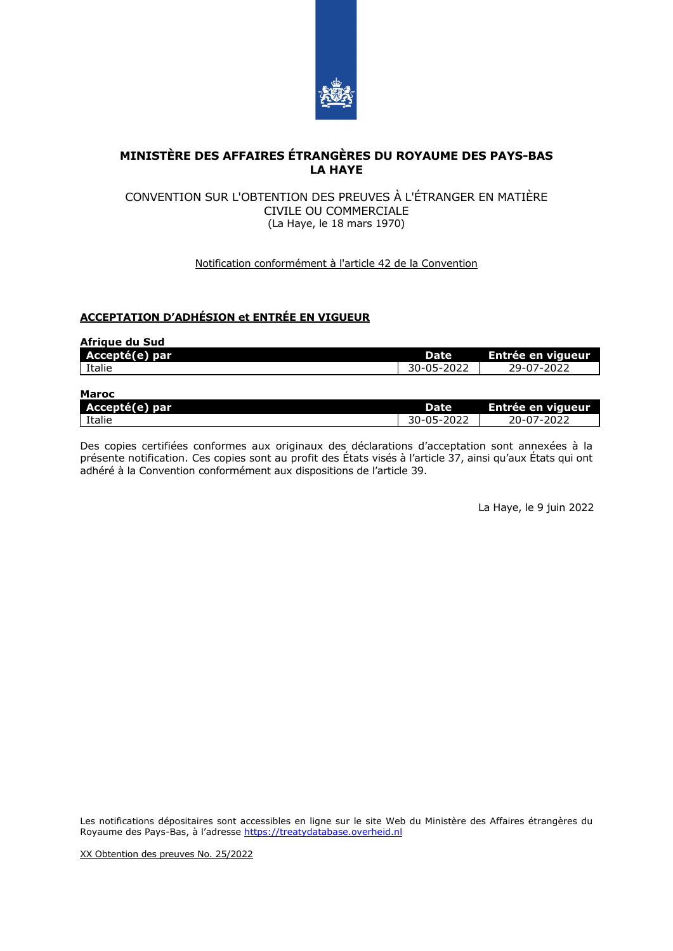

# **MINISTÈRE DES AFFAIRES ÉTRANGÈRES DU ROYAUME DES PAYS-BAS LA HAYE**

### CONVENTION SUR L'OBTENTION DES PREUVES À L'ÉTRANGER EN MATIÈRE CIVILE OU COMMERCIALE (La Haye, le 18 mars 1970)

### Notification conformément à l'article 42 de la Convention

## **ACCEPTATION D'ADHÉSION et ENTRÉE EN VIGUEUR**

| Afrigue du Sud |             |                   |
|----------------|-------------|-------------------|
| Accepté(e) par | <b>Date</b> | Entrée en vigueur |
| Italie         | 30-05-2022  | 29-07-2022        |
| Maroc          |             |                   |

| _<br>Dal.<br>$\sim$<br><u> - reesprac</u> | Date                                               | viaueur<br>ree en<br>- -<br>---- |
|-------------------------------------------|----------------------------------------------------|----------------------------------|
| Italie                                    | $\sim$ $\sim$ $\sim$<br>.<br>.<br>LULL<br>JU<br>ັັ | $\sim$<br>---<br>.<br>ے ر        |

Des copies certifiées conformes aux originaux des déclarations d'acceptation sont annexées à la présente notification. Ces copies sont au profit des États visés à l'article 37, ainsi qu'aux États qui ont adhéré à la Convention conformément aux dispositions de l'article 39.

La Haye, le 9 juin 2022

Les notifications dépositaires sont accessibles en ligne sur le site Web du Ministère des Affaires étrangères du Royaume des Pays-Bas, à l'adresse [https://treatydatabase.overheid.nl](https://treatydatabase.overheid.nl/)

XX Obtention des preuves No. 25/2022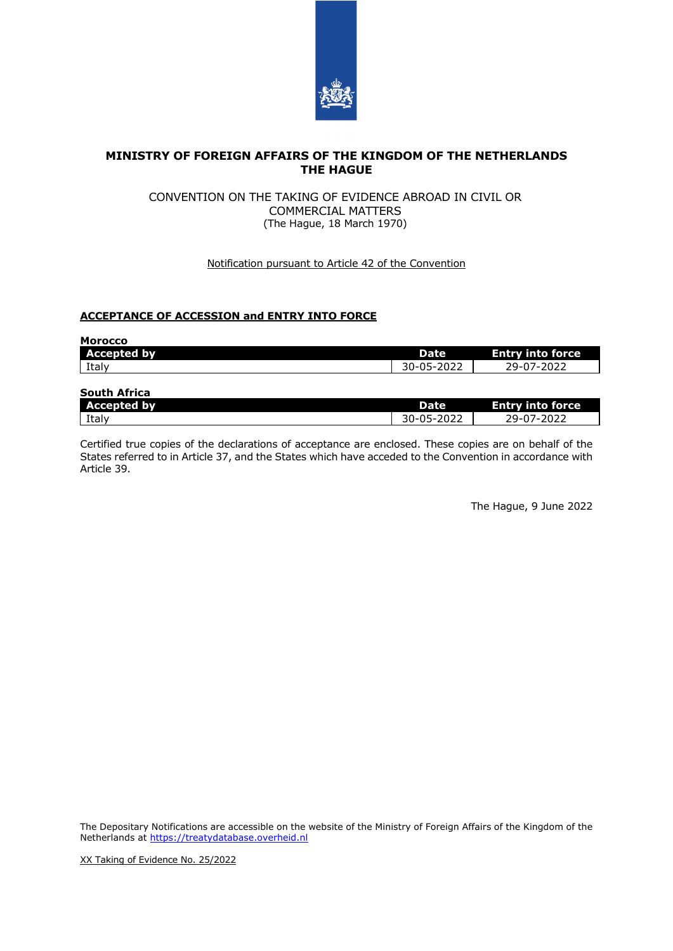

## **MINISTRY OF FOREIGN AFFAIRS OF THE KINGDOM OF THE NETHERLANDS THE HAGUE**

### CONVENTION ON THE TAKING OF EVIDENCE ABROAD IN CIVIL OR COMMERCIAL MATTERS (The Hague, 18 March 1970)

### Notification pursuant to Article 42 of the Convention

### **ACCEPTANCE OF ACCESSION and ENTRY INTO FORCE**

| <b>Morocco</b>     |             |                         |
|--------------------|-------------|-------------------------|
| <b>Accepted by</b> | <b>Date</b> | <b>Entry into force</b> |
| Italy              | 30-05-2022  | 29-07-2022              |
| South Africa       |             |                         |

| JUULII AIIILA         |                 |                  |  |
|-----------------------|-----------------|------------------|--|
| ыv<br><b>Accepted</b> | Date            | force<br>.       |  |
| Italy                 | - ישי<br>- J 44 | , 9-117-<br>ᅩᇰᄼᅩ |  |

Certified true copies of the declarations of acceptance are enclosed. These copies are on behalf of the States referred to in Article 37, and the States which have acceded to the Convention in accordance with Article 39.

The Hague, 9 June 2022

The Depositary Notifications are accessible on the website of the Ministry of Foreign Affairs of the Kingdom of the Netherlands at [https://treatydatabase.overheid.nl](https://treatydatabase.overheid.nl/)

XX Taking of Evidence No. 25/2022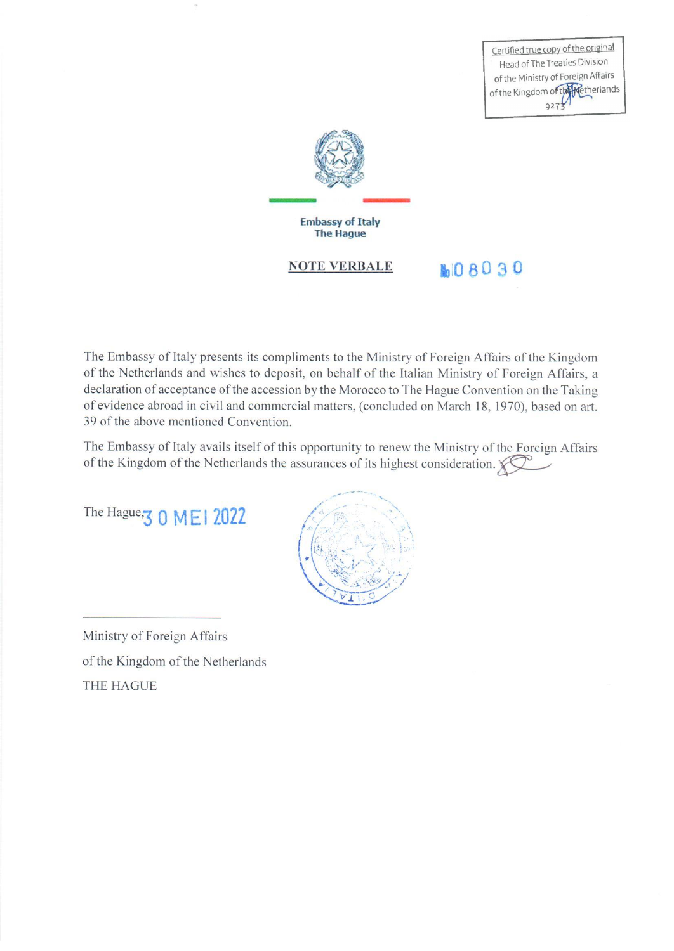Certified true copy of the original Head of The Treaties Division of the Ministry of Foreign Affairs of the Kingdom of the Retherlands  $9273$ 



The Embassy of Italy presents its compliments to the Ministry of Foreign Affairs of the Kingdom of the Netherlands and wishes to deposit, on behalf of the Italian Ministry of Foreign Affairs, a declaration of acceptance of the accession by the Morocco to The Hague Convention on the Taking of evidence abroad in civil and commercial matters, (concluded on March 18, 1970), based on art. 39 of the above mentioned Convention.

The Embassy of Italy avails itself of this opportunity to renew the Ministry of the Foreign Affairs of the Kingdom of the Netherlands the assurances of its highest consideration.

The Hague, 3 0 MEI 2022



Ministry of Foreign Affairs of the Kingdom of the Netherlands **THE HAGUE**